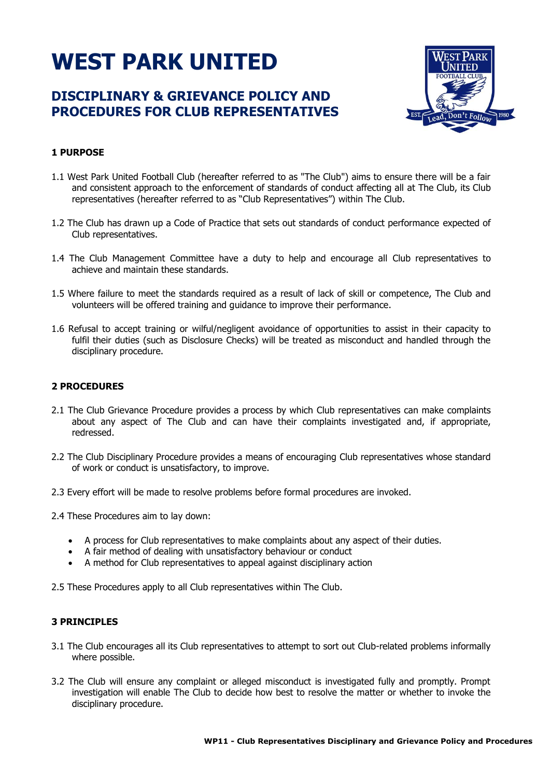# **WEST PARK UNITED**

# **DISCIPLINARY & GRIEVANCE POLICY AND PROCEDURES FOR CLUB REPRESENTATIVES**



# **1 PURPOSE**

- 1.1 West Park United Football Club (hereafter referred to as "The Club") aims to ensure there will be a fair and consistent approach to the enforcement of standards of conduct affecting all at The Club, its Club representatives (hereafter referred to as "Club Representatives") within The Club.
- 1.2 The Club has drawn up a Code of Practice that sets out standards of conduct performance expected of Club representatives.
- 1.4 The Club Management Committee have a duty to help and encourage all Club representatives to achieve and maintain these standards.
- 1.5 Where failure to meet the standards required as a result of lack of skill or competence, The Club and volunteers will be offered training and guidance to improve their performance.
- 1.6 Refusal to accept training or wilful/negligent avoidance of opportunities to assist in their capacity to fulfil their duties (such as Disclosure Checks) will be treated as misconduct and handled through the disciplinary procedure.

## **2 PROCEDURES**

- 2.1 The Club Grievance Procedure provides a process by which Club representatives can make complaints about any aspect of The Club and can have their complaints investigated and, if appropriate, redressed.
- 2.2 The Club Disciplinary Procedure provides a means of encouraging Club representatives whose standard of work or conduct is unsatisfactory, to improve.
- 2.3 Every effort will be made to resolve problems before formal procedures are invoked.
- 2.4 These Procedures aim to lay down:
	- A process for Club representatives to make complaints about any aspect of their duties.
	- A fair method of dealing with unsatisfactory behaviour or conduct
	- A method for Club representatives to appeal against disciplinary action

2.5 These Procedures apply to all Club representatives within The Club.

#### **3 PRINCIPLES**

- 3.1 The Club encourages all its Club representatives to attempt to sort out Club-related problems informally where possible.
- 3.2 The Club will ensure any complaint or alleged misconduct is investigated fully and promptly. Prompt investigation will enable The Club to decide how best to resolve the matter or whether to invoke the disciplinary procedure.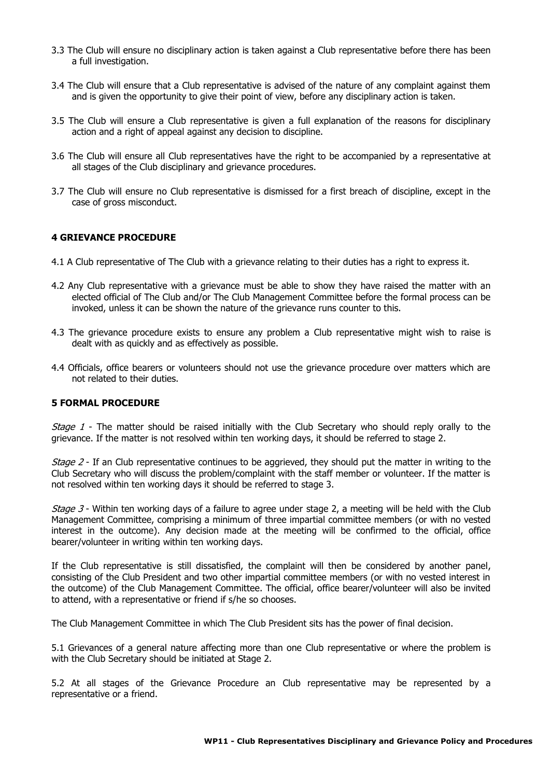- 3.3 The Club will ensure no disciplinary action is taken against a Club representative before there has been a full investigation.
- 3.4 The Club will ensure that a Club representative is advised of the nature of any complaint against them and is given the opportunity to give their point of view, before any disciplinary action is taken.
- 3.5 The Club will ensure a Club representative is given a full explanation of the reasons for disciplinary action and a right of appeal against any decision to discipline.
- 3.6 The Club will ensure all Club representatives have the right to be accompanied by a representative at all stages of the Club disciplinary and grievance procedures.
- 3.7 The Club will ensure no Club representative is dismissed for a first breach of discipline, except in the case of gross misconduct.

#### **4 GRIEVANCE PROCEDURE**

- 4.1 A Club representative of The Club with a grievance relating to their duties has a right to express it.
- 4.2 Any Club representative with a grievance must be able to show they have raised the matter with an elected official of The Club and/or The Club Management Committee before the formal process can be invoked, unless it can be shown the nature of the grievance runs counter to this.
- 4.3 The grievance procedure exists to ensure any problem a Club representative might wish to raise is dealt with as quickly and as effectively as possible.
- 4.4 Officials, office bearers or volunteers should not use the grievance procedure over matters which are not related to their duties.

#### **5 FORMAL PROCEDURE**

Stage 1 - The matter should be raised initially with the Club Secretary who should reply orally to the grievance. If the matter is not resolved within ten working days, it should be referred to stage 2.

*Stage 2* - If an Club representative continues to be aggrieved, they should put the matter in writing to the Club Secretary who will discuss the problem/complaint with the staff member or volunteer. If the matter is not resolved within ten working days it should be referred to stage 3.

*Stage 3* - Within ten working days of a failure to agree under stage 2, a meeting will be held with the Club Management Committee, comprising a minimum of three impartial committee members (or with no vested interest in the outcome). Any decision made at the meeting will be confirmed to the official, office bearer/volunteer in writing within ten working days.

If the Club representative is still dissatisfied, the complaint will then be considered by another panel, consisting of the Club President and two other impartial committee members (or with no vested interest in the outcome) of the Club Management Committee. The official, office bearer/volunteer will also be invited to attend, with a representative or friend if s/he so chooses.

The Club Management Committee in which The Club President sits has the power of final decision.

5.1 Grievances of a general nature affecting more than one Club representative or where the problem is with the Club Secretary should be initiated at Stage 2.

5.2 At all stages of the Grievance Procedure an Club representative may be represented by a representative or a friend.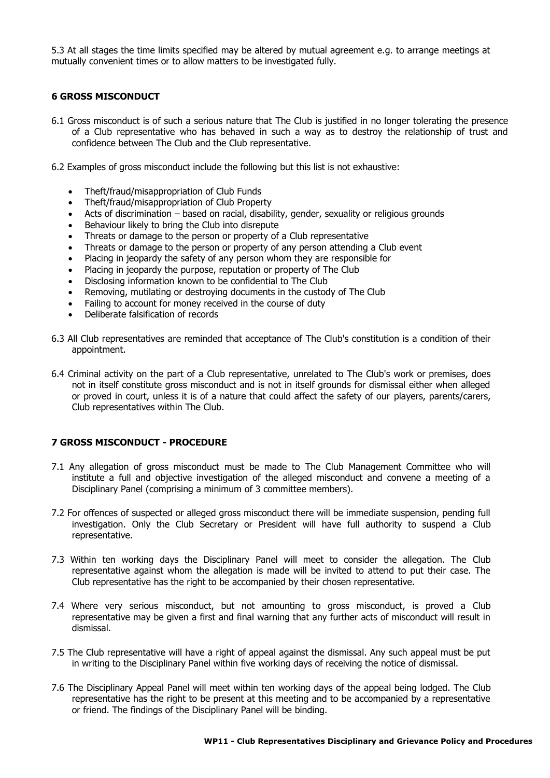5.3 At all stages the time limits specified may be altered by mutual agreement e.g. to arrange meetings at mutually convenient times or to allow matters to be investigated fully.

## **6 GROSS MISCONDUCT**

- 6.1 Gross misconduct is of such a serious nature that The Club is justified in no longer tolerating the presence of a Club representative who has behaved in such a way as to destroy the relationship of trust and confidence between The Club and the Club representative.
- 6.2 Examples of gross misconduct include the following but this list is not exhaustive:
	- Theft/fraud/misappropriation of Club Funds
	- Theft/fraud/misappropriation of Club Property
	- Acts of discrimination based on racial, disability, gender, sexuality or religious grounds
	- Behaviour likely to bring the Club into disrepute
	- Threats or damage to the person or property of a Club representative
	- Threats or damage to the person or property of any person attending a Club event
	- Placing in jeopardy the safety of any person whom they are responsible for
	- Placing in jeopardy the purpose, reputation or property of The Club
	- Disclosing information known to be confidential to The Club
	- Removing, mutilating or destroying documents in the custody of The Club
	- Failing to account for money received in the course of duty
	- Deliberate falsification of records
- 6.3 All Club representatives are reminded that acceptance of The Club's constitution is a condition of their appointment.
- 6.4 Criminal activity on the part of a Club representative, unrelated to The Club's work or premises, does not in itself constitute gross misconduct and is not in itself grounds for dismissal either when alleged or proved in court, unless it is of a nature that could affect the safety of our players, parents/carers, Club representatives within The Club.

#### **7 GROSS MISCONDUCT - PROCEDURE**

- 7.1 Any allegation of gross misconduct must be made to The Club Management Committee who will institute a full and objective investigation of the alleged misconduct and convene a meeting of a Disciplinary Panel (comprising a minimum of 3 committee members).
- 7.2 For offences of suspected or alleged gross misconduct there will be immediate suspension, pending full investigation. Only the Club Secretary or President will have full authority to suspend a Club representative.
- 7.3 Within ten working days the Disciplinary Panel will meet to consider the allegation. The Club representative against whom the allegation is made will be invited to attend to put their case. The Club representative has the right to be accompanied by their chosen representative.
- 7.4 Where very serious misconduct, but not amounting to gross misconduct, is proved a Club representative may be given a first and final warning that any further acts of misconduct will result in dismissal.
- 7.5 The Club representative will have a right of appeal against the dismissal. Any such appeal must be put in writing to the Disciplinary Panel within five working days of receiving the notice of dismissal.
- 7.6 The Disciplinary Appeal Panel will meet within ten working days of the appeal being lodged. The Club representative has the right to be present at this meeting and to be accompanied by a representative or friend. The findings of the Disciplinary Panel will be binding.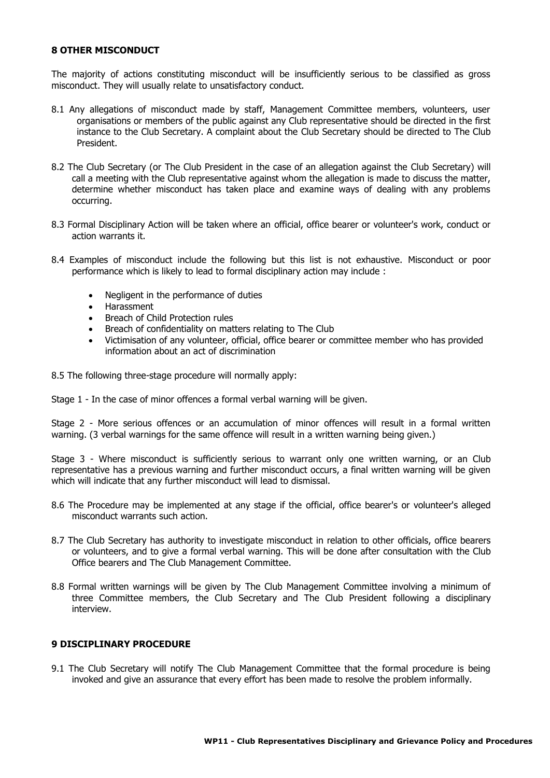#### **8 OTHER MISCONDUCT**

The majority of actions constituting misconduct will be insufficiently serious to be classified as gross misconduct. They will usually relate to unsatisfactory conduct.

- 8.1 Any allegations of misconduct made by staff, Management Committee members, volunteers, user organisations or members of the public against any Club representative should be directed in the first instance to the Club Secretary. A complaint about the Club Secretary should be directed to The Club President.
- 8.2 The Club Secretary (or The Club President in the case of an allegation against the Club Secretary) will call a meeting with the Club representative against whom the allegation is made to discuss the matter, determine whether misconduct has taken place and examine ways of dealing with any problems occurring.
- 8.3 Formal Disciplinary Action will be taken where an official, office bearer or volunteer's work, conduct or action warrants it.
- 8.4 Examples of misconduct include the following but this list is not exhaustive. Misconduct or poor performance which is likely to lead to formal disciplinary action may include :
	- Negligent in the performance of duties
	- Harassment
	- Breach of Child Protection rules
	- Breach of confidentiality on matters relating to The Club
	- Victimisation of any volunteer, official, office bearer or committee member who has provided information about an act of discrimination
- 8.5 The following three-stage procedure will normally apply:
- Stage 1 In the case of minor offences a formal verbal warning will be given.

Stage 2 - More serious offences or an accumulation of minor offences will result in a formal written warning. (3 verbal warnings for the same offence will result in a written warning being given.)

Stage 3 - Where misconduct is sufficiently serious to warrant only one written warning, or an Club representative has a previous warning and further misconduct occurs, a final written warning will be given which will indicate that any further misconduct will lead to dismissal.

- 8.6 The Procedure may be implemented at any stage if the official, office bearer's or volunteer's alleged misconduct warrants such action.
- 8.7 The Club Secretary has authority to investigate misconduct in relation to other officials, office bearers or volunteers, and to give a formal verbal warning. This will be done after consultation with the Club Office bearers and The Club Management Committee.
- 8.8 Formal written warnings will be given by The Club Management Committee involving a minimum of three Committee members, the Club Secretary and The Club President following a disciplinary interview.

#### **9 DISCIPLINARY PROCEDURE**

9.1 The Club Secretary will notify The Club Management Committee that the formal procedure is being invoked and give an assurance that every effort has been made to resolve the problem informally.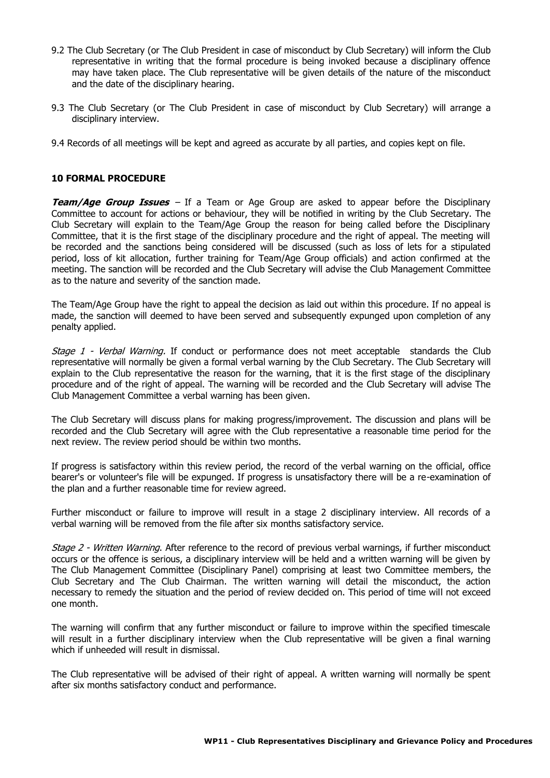- 9.2 The Club Secretary (or The Club President in case of misconduct by Club Secretary) will inform the Club representative in writing that the formal procedure is being invoked because a disciplinary offence may have taken place. The Club representative will be given details of the nature of the misconduct and the date of the disciplinary hearing.
- 9.3 The Club Secretary (or The Club President in case of misconduct by Club Secretary) will arrange a disciplinary interview.
- 9.4 Records of all meetings will be kept and agreed as accurate by all parties, and copies kept on file.

#### **10 FORMAL PROCEDURE**

**Team/Age Group Issues** – If a Team or Age Group are asked to appear before the Disciplinary Committee to account for actions or behaviour, they will be notified in writing by the Club Secretary. The Club Secretary will explain to the Team/Age Group the reason for being called before the Disciplinary Committee, that it is the first stage of the disciplinary procedure and the right of appeal. The meeting will be recorded and the sanctions being considered will be discussed (such as loss of lets for a stipulated period, loss of kit allocation, further training for Team/Age Group officials) and action confirmed at the meeting. The sanction will be recorded and the Club Secretary will advise the Club Management Committee as to the nature and severity of the sanction made.

The Team/Age Group have the right to appeal the decision as laid out within this procedure. If no appeal is made, the sanction will deemed to have been served and subsequently expunged upon completion of any penalty applied.

Stage 1 - Verbal Warning. If conduct or performance does not meet acceptable standards the Club representative will normally be given a formal verbal warning by the Club Secretary. The Club Secretary will explain to the Club representative the reason for the warning, that it is the first stage of the disciplinary procedure and of the right of appeal. The warning will be recorded and the Club Secretary will advise The Club Management Committee a verbal warning has been given.

The Club Secretary will discuss plans for making progress/improvement. The discussion and plans will be recorded and the Club Secretary will agree with the Club representative a reasonable time period for the next review. The review period should be within two months.

If progress is satisfactory within this review period, the record of the verbal warning on the official, office bearer's or volunteer's file will be expunged. If progress is unsatisfactory there will be a re-examination of the plan and a further reasonable time for review agreed.

Further misconduct or failure to improve will result in a stage 2 disciplinary interview. All records of a verbal warning will be removed from the file after six months satisfactory service.

Stage 2 - Written Warning. After reference to the record of previous verbal warnings, if further misconduct occurs or the offence is serious, a disciplinary interview will be held and a written warning will be given by The Club Management Committee (Disciplinary Panel) comprising at least two Committee members, the Club Secretary and The Club Chairman. The written warning will detail the misconduct, the action necessary to remedy the situation and the period of review decided on. This period of time will not exceed one month.

The warning will confirm that any further misconduct or failure to improve within the specified timescale will result in a further disciplinary interview when the Club representative will be given a final warning which if unheeded will result in dismissal.

The Club representative will be advised of their right of appeal. A written warning will normally be spent after six months satisfactory conduct and performance.